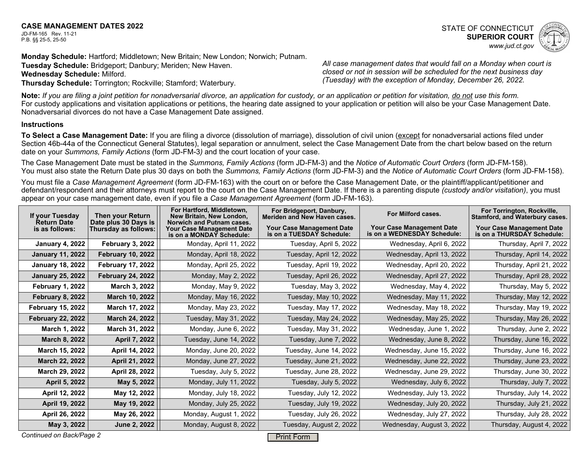## **CASE MANAGEMENT DATES 2022**

JD-FM-165 Rev. 11-21 P.B. §§ 25-5, 25-50

**Monday Schedule:** Hartford; Middletown; New Britain; New London; Norwich; Putnam. **Tuesday Schedule:** Bridgeport; Danbury; Meriden; New Haven. **Wednesday Schedule:** Milford. **Thursday Schedule:** Torrington; Rockville; Stamford; Waterbury.

*All case management dates that would fall on a Monday when court is closed or not in session will be scheduled for the next business day (Tuesday) with the exception of Monday, December 26, 2022.*

**Note:** *If you are filing a joint petition for nonadversarial divorce, an application for custody, or an application or petition for visitation, do not use this form.* For custody applications and visitation applications or petitions, the hearing date assigned to your application or petition will also be your Case Management Date. Nonadversarial divorces do not have a Case Management Date assigned.

## **Instructions**

To Select a Case Management Date: If you are filing a divorce (dissolution of marriage), dissolution of civil union (except for nonadversarial actions filed under Section 46b-44a of the Connecticut General Statutes), legal separation or annulment, select the Case Management Date from the chart below based on the return date on your *Summons, Family Actions* (form JD-FM-3*)* and the court location of your case.

The Case Management Date must be stated in the *Summons, Family Actions* (form JD-FM-3) and the *Notice of Automatic Court Orders* (form JD-FM-158). You must also state the Return Date plus 30 days on both the *Summons, Family Actions* (form JD-FM-3) and the *Notice of Automatic Court Orders* (form JD-FM-158).

You must file a *Case Management Agreement* (form JD-FM-163) with the court on or before the Case Management Date, or the plaintiff/applicant/petitioner and defendant/respondent and their attorneys must report to the court on the Case Management Date. If there is a parenting dispute *(custody and/or visitation)*, you must appear on your case management date, even if you file a *Case Management Agreement* (form JD-FM-163).

| If your Tuesday<br><b>Return Date</b> | <b>Then your Return</b><br>Date plus 30 Days is | For Hartford, Middletown,<br>New Britain, New London,<br>Norwich and Putnam cases. | For Bridgeport, Danbury,<br><b>Meriden and New Haven cases.</b> | For Milford cases.                                              | For Torrington, Rockville,<br>Stamford, and Waterbury cases.   |
|---------------------------------------|-------------------------------------------------|------------------------------------------------------------------------------------|-----------------------------------------------------------------|-----------------------------------------------------------------|----------------------------------------------------------------|
| is as follows:                        | Thursday as follows:                            | <b>Your Case Management Date</b><br>is on a MONDAY Schedule:                       | <b>Your Case Management Date</b><br>is on a TUESDAY Schedule:   | <b>Your Case Management Date</b><br>is on a WEDNESDAY Schedule: | <b>Your Case Management Date</b><br>is on a THURSDAY Schedule: |
| <b>January 4, 2022</b>                | <b>February 3, 2022</b>                         | Monday, April 11, 2022                                                             | Tuesday, April 5, 2022                                          | Wednesday, April 6, 2022                                        | Thursday, April 7, 2022                                        |
| <b>January 11, 2022</b>               | <b>February 10, 2022</b>                        | Monday, April 18, 2022                                                             | Tuesday, April 12, 2022                                         | Wednesday, April 13, 2022                                       | Thursday, April 14, 2022                                       |
| <b>January 18, 2022</b>               | <b>February 17, 2022</b>                        | Monday, April 25, 2022                                                             | Tuesday, April 19, 2022                                         | Wednesday, April 20, 2022                                       | Thursday, April 21, 2022                                       |
| <b>January 25, 2022</b>               | <b>February 24, 2022</b>                        | Monday, May 2, 2022                                                                | Tuesday, April 26, 2022                                         | Wednesday, April 27, 2022                                       | Thursday, April 28, 2022                                       |
| <b>February 1, 2022</b>               | March 3, 2022                                   | Monday, May 9, 2022                                                                | Tuesday, May 3, 2022                                            | Wednesday, May 4, 2022                                          | Thursday, May 5, 2022                                          |
| <b>February 8, 2022</b>               | March 10, 2022                                  | Monday, May 16, 2022                                                               | Tuesday, May 10, 2022                                           | Wednesday, May 11, 2022                                         | Thursday, May 12, 2022                                         |
| <b>February 15, 2022</b>              | March 17, 2022                                  | Monday, May 23, 2022                                                               | Tuesday, May 17, 2022                                           | Wednesday, May 18, 2022                                         | Thursday, May 19, 2022                                         |
| <b>February 22, 2022</b>              | March 24, 2022                                  | Tuesday, May 31, 2022                                                              | Tuesday, May 24, 2022                                           | Wednesday, May 25, 2022                                         | Thursday, May 26, 2022                                         |
| March 1, 2022                         | March 31, 2022                                  | Monday, June 6, 2022                                                               | Tuesday, May 31, 2022                                           | Wednesday, June 1, 2022                                         | Thursday, June 2, 2022                                         |
| March 8, 2022                         | April 7, 2022                                   | Tuesday, June 14, 2022                                                             | Tuesday, June 7, 2022                                           | Wednesday, June 8, 2022                                         | Thursday, June 16, 2022                                        |
| March 15, 2022                        | April 14, 2022                                  | Monday, June 20, 2022                                                              | Tuesday, June 14, 2022                                          | Wednesday, June 15, 2022                                        | Thursday, June 16, 2022                                        |
| March 22, 2022                        | April 21, 2022                                  | Monday, June 27, 2022                                                              | Tuesday, June 21, 2022                                          | Wednesday, June 22, 2022                                        | Thursday, June 23, 2022                                        |
| March 29, 2022                        | April 28, 2022                                  | Tuesday, July 5, 2022                                                              | Tuesday, June 28, 2022                                          | Wednesday, June 29, 2022                                        | Thursday, June 30, 2022                                        |
| April 5, 2022                         | May 5, 2022                                     | Monday, July 11, 2022                                                              | Tuesday, July 5, 2022                                           | Wednesday, July 6, 2022                                         | Thursday, July 7, 2022                                         |
| April 12, 2022                        | May 12, 2022                                    | Monday, July 18, 2022                                                              | Tuesday, July 12, 2022                                          | Wednesday, July 13, 2022                                        | Thursday, July 14, 2022                                        |
| April 19, 2022                        | May 19, 2022                                    | Monday, July 25, 2022                                                              | Tuesday, July 19, 2022                                          | Wednesday, July 20, 2022                                        | Thursday, July 21, 2022                                        |
| April 26, 2022                        | May 26, 2022                                    | Monday, August 1, 2022                                                             | Tuesday, July 26, 2022                                          | Wednesday, July 27, 2022                                        | Thursday, July 28, 2022                                        |
| May 3, 2022                           | <b>June 2, 2022</b>                             | Monday, August 8, 2022                                                             | Tuesday, August 2, 2022                                         | Wednesday, August 3, 2022                                       | Thursday, August 4, 2022                                       |
| Continued on Back/Page 2              |                                                 |                                                                                    | <b>Print Form</b>                                               |                                                                 |                                                                |